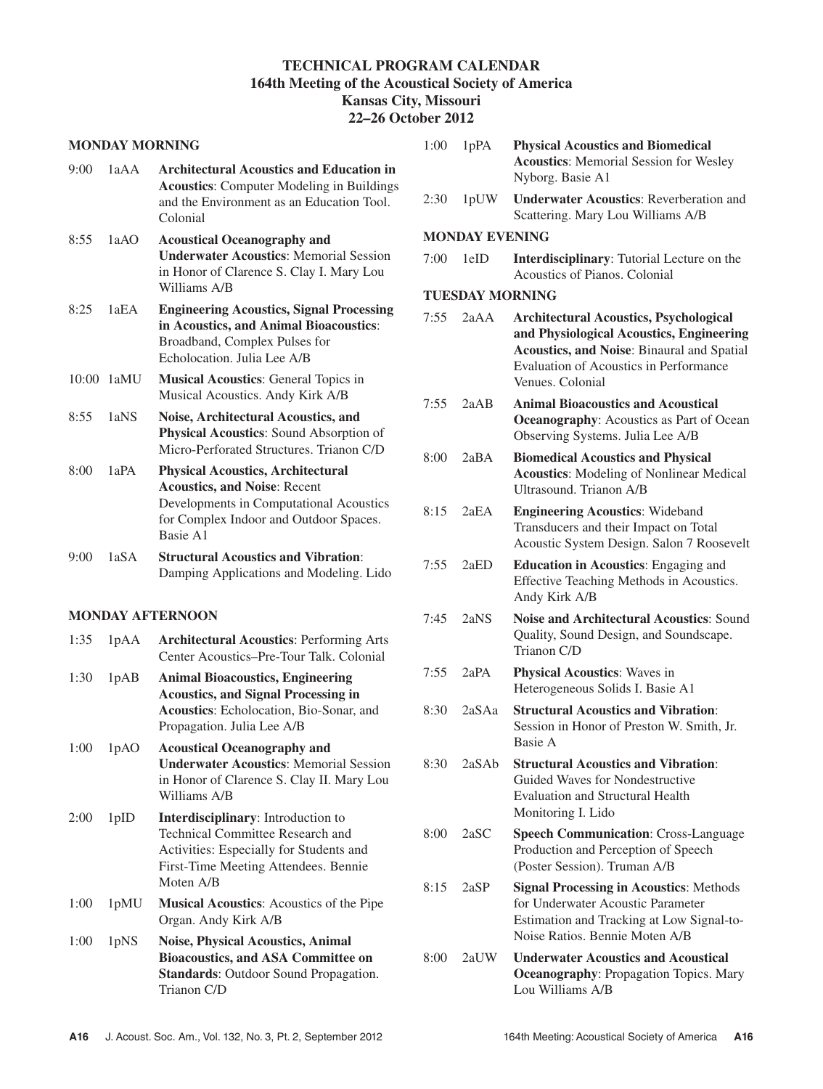# **TECHNICAL PROGRAM CALENDAR 164th Meeting of the Acoustical Society of America Kansas City, Missouri**

# **22–26 October 2012**

#### **MONDAY MORNING**

| 9:00  | 1aAA | <b>Architectural Acoustics and Education in</b><br><b>Acoustics:</b> Computer Modeling in Buildings<br>and the Environment as an Education Tool.<br>Colonial                     |
|-------|------|----------------------------------------------------------------------------------------------------------------------------------------------------------------------------------|
| 8:55  | 1aAO | <b>Acoustical Oceanography and</b><br><b>Underwater Acoustics: Memorial Session</b><br>in Honor of Clarence S. Clay I. Mary Lou<br>Williams A/B                                  |
| 8:25  | 1aEA | <b>Engineering Acoustics, Signal Processing</b><br>in Acoustics, and Animal Bioacoustics:<br>Broadband, Complex Pulses for<br>Echolocation. Julia Lee A/B                        |
| 10:00 | 1aMU | <b>Musical Acoustics: General Topics in</b><br>Musical Acoustics. Andy Kirk A/B                                                                                                  |
| 8:55  | 1aNS | Noise, Architectural Acoustics, and<br><b>Physical Acoustics:</b> Sound Absorption of<br>Micro-Perforated Structures, Trianon C/D                                                |
| 8:00  | 1aPA | <b>Physical Acoustics, Architectural</b><br><b>Acoustics, and Noise: Recent</b><br>Developments in Computational Acoustics<br>for Complex Indoor and Outdoor Spaces.<br>Basie A1 |
| 9:00  | 1aSA | <b>Structural Acoustics and Vibration:</b><br>Damping Applications and Modeling. Lido                                                                                            |

### **MONDAY AFTERNOON**

- 1:35 1pAA **Architectural Acoustics**: Performing Arts Center Acoustics–Pre-Tour Talk. Colonial
- 1:30 1pAB **Animal Bioacoustics, Engineering Acoustics, and Signal Processing in Acoustics**: Echolocation, Bio-Sonar, and Propagation. Julia Lee A/B
- 1:00 1pAO **Acoustical Oceanography and Underwater Acoustics**: Memorial Session in Honor of Clarence S. Clay II. Mary Lou Williams A/B
- 2:00 1pID **Interdisciplinary**: Introduction to Technical Committee Research and Activities: Especially for Students and First-Time Meeting Attendees. Bennie Moten A/B
- 1:00 1pMU **Musical Acoustics**: Acoustics of the Pipe Organ. Andy Kirk A/B
- 1:00 1pNS **Noise, Physical Acoustics, Animal Bioacoustics, and ASA Committee on Standards**: Outdoor Sound Propagation. Trianon C/D

| 1:00 | 1pPA                   | <b>Physical Acoustics and Biomedical</b><br><b>Acoustics:</b> Memorial Session for Wesley<br>Nyborg. Basie A1                                                                                                       |
|------|------------------------|---------------------------------------------------------------------------------------------------------------------------------------------------------------------------------------------------------------------|
| 2:30 | 1pUW                   | <b>Underwater Acoustics: Reverberation and</b><br>Scattering. Mary Lou Williams A/B                                                                                                                                 |
|      | <b>MONDAY EVENING</b>  |                                                                                                                                                                                                                     |
| 7:00 | 1eID                   | <b>Interdisciplinary:</b> Tutorial Lecture on the<br>Acoustics of Pianos, Colonial                                                                                                                                  |
|      | <b>TUESDAY MORNING</b> |                                                                                                                                                                                                                     |
| 7:55 | 2aAA                   | <b>Architectural Acoustics, Psychological</b><br>and Physiological Acoustics, Engineering<br><b>Acoustics, and Noise: Binaural and Spatial</b><br><b>Evaluation of Acoustics in Performance</b><br>Venues, Colonial |
| 7:55 | 2aAB                   | <b>Animal Bioacoustics and Acoustical</b><br><b>Oceanography:</b> Acoustics as Part of Ocean<br>Observing Systems. Julia Lee A/B                                                                                    |
| 8:00 | 2aBA                   | <b>Biomedical Acoustics and Physical</b><br><b>Acoustics:</b> Modeling of Nonlinear Medical<br>Ultrasound. Trianon A/B                                                                                              |
| 8:15 | 2aEA                   | <b>Engineering Acoustics: Wideband</b><br>Transducers and their Impact on Total<br>Acoustic System Design. Salon 7 Roosevelt                                                                                        |
| 7:55 | 2aED                   | <b>Education in Acoustics:</b> Engaging and<br>Effective Teaching Methods in Acoustics.<br>Andy Kirk A/B                                                                                                            |
| 7:45 | 2aNS                   | <b>Noise and Architectural Acoustics: Sound</b><br>Quality, Sound Design, and Soundscape.<br>Trianon C/D                                                                                                            |
| 7:55 | 2aPA                   | <b>Physical Acoustics:</b> Waves in<br>Heterogeneous Solids I. Basie A1                                                                                                                                             |
| 8:30 | 2aSAa                  | <b>Structural Acoustics and Vibration:</b><br>Session in Honor of Preston W. Smith, Jr.<br>Basie A                                                                                                                  |
| 8:30 | 2aSAb                  | <b>Structural Acoustics and Vibration:</b><br>Guided Waves for Nondestructive<br><b>Evaluation and Structural Health</b><br>Monitoring I. Lido                                                                      |
| 8:00 | 2aSC                   | <b>Speech Communication: Cross-Language</b><br>Production and Perception of Speech<br>(Poster Session). Truman A/B                                                                                                  |
| 8:15 | 2aSP                   | <b>Signal Processing in Acoustics: Methods</b><br>for Underwater Acoustic Parameter<br>Estimation and Tracking at Low Signal-to-<br>Noise Ratios. Bennie Moten A/B                                                  |
|      |                        | 8:00 2aUW Underwater Acoustics and Acoustical                                                                                                                                                                       |

8:00 2aUW **Underwater Acoustics and Acoustical Oceanography**: Propagation Topics. Mary Lou Williams A/B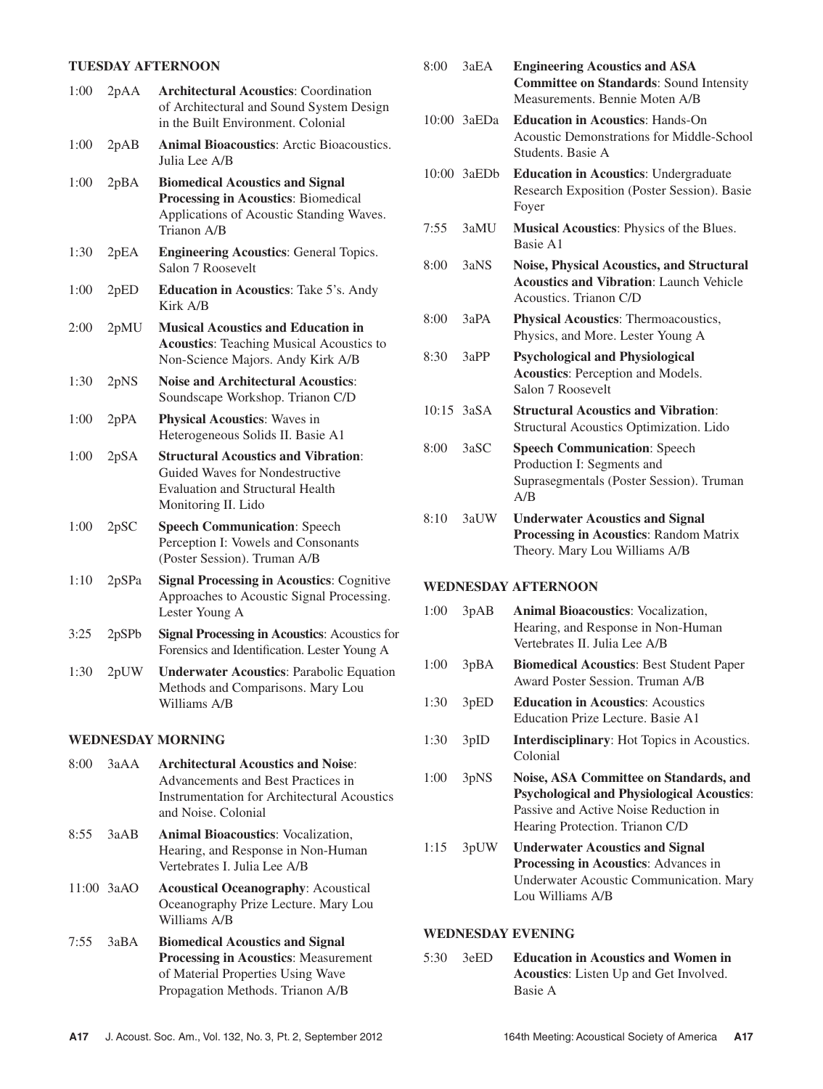# **TUESDAY AFTERNOON**

| 1:00              | 2pAA  | <b>Architectural Acoustics: Coordination</b><br>of Architectural and Sound System Design<br>in the Built Environment. Colonial                  |  |
|-------------------|-------|-------------------------------------------------------------------------------------------------------------------------------------------------|--|
| 1:00              | 2pAB  | <b>Animal Bioacoustics:</b> Arctic Bioacoustics.<br>Julia Lee A/B                                                                               |  |
| 1:00              | 2pBA  | <b>Biomedical Acoustics and Signal</b><br>Processing in Acoustics: Biomedical<br>Applications of Acoustic Standing Waves.<br>Trianon A/B        |  |
| 1:30              | 2pEA  | <b>Engineering Acoustics: General Topics.</b><br>Salon 7 Roosevelt                                                                              |  |
| 1:00              | 2pED  | <b>Education in Acoustics:</b> Take 5's. Andy<br>Kirk A/B                                                                                       |  |
| 2:00              | 2pMU  | <b>Musical Acoustics and Education in</b><br><b>Acoustics:</b> Teaching Musical Acoustics to<br>Non-Science Majors. Andy Kirk A/B               |  |
| 1:30              | 2pNS  | <b>Noise and Architectural Acoustics:</b><br>Soundscape Workshop. Trianon C/D                                                                   |  |
| 1:00              | 2pPA  | <b>Physical Acoustics:</b> Waves in<br>Heterogeneous Solids II. Basie A1                                                                        |  |
| 1:00              | 2pSA  | <b>Structural Acoustics and Vibration:</b><br>Guided Waves for Nondestructive<br><b>Evaluation and Structural Health</b><br>Monitoring II. Lido |  |
| 1:00              | 2pSC  | <b>Speech Communication: Speech</b><br>Perception I: Vowels and Consonants<br>(Poster Session). Truman A/B                                      |  |
| 1:10              | 2pSPa | <b>Signal Processing in Acoustics: Cognitive</b><br>Approaches to Acoustic Signal Processing.<br>Lester Young A                                 |  |
| 3:25              | 2pSPb | <b>Signal Processing in Acoustics: Acoustics for</b><br>Forensics and Identification. Lester Young A                                            |  |
| 1:30              | 2pUW  | <b>Underwater Acoustics: Parabolic Equation</b><br>Methods and Comparisons. Mary Lou<br>Williams A/B                                            |  |
| WEDNESDAY MORNING |       |                                                                                                                                                 |  |
| 8:00              | 3aAA  | <b>Architectural Acoustics and Noise:</b>                                                                                                       |  |

- Advancements and Best Practices in Instrumentation for Architectural Acoustics and Noise. Colonial
- 8:55 3aAB **Animal Bioacoustics**: Vocalization, Hearing, and Response in Non-Human Vertebrates I. Julia Lee A/B
- 11:00 3aAO **Acoustical Oceanography**: Acoustical Oceanography Prize Lecture. Mary Lou Williams A/B
- 7:55 3aBA **Biomedical Acoustics and Signal Processing in Acoustics**: Measurement of Material Properties Using Wave Propagation Methods. Trianon A/B

| 8:00 | 3aEA           | <b>Engineering Acoustics and ASA</b><br><b>Committee on Standards: Sound Intensity</b><br>Measurements, Bennie Moten A/B     |
|------|----------------|------------------------------------------------------------------------------------------------------------------------------|
|      | 10:00 3aEDa    | <b>Education in Acoustics: Hands-On</b><br>Acoustic Demonstrations for Middle-School<br>Students, Basie A                    |
|      | 10:00 3aEDb    | <b>Education in Acoustics: Undergraduate</b><br>Research Exposition (Poster Session). Basie<br>Foyer                         |
| 7:55 | 3aMU           | <b>Musical Acoustics:</b> Physics of the Blues.<br>Basie A1                                                                  |
| 8:00 | 3aNS           | <b>Noise, Physical Acoustics, and Structural</b><br><b>Acoustics and Vibration: Launch Vehicle</b><br>Acoustics. Trianon C/D |
| 8:00 | 3aPA           | Physical Acoustics: Thermoacoustics,<br>Physics, and More. Lester Young A                                                    |
| 8:30 | 3aPP           | <b>Psychological and Physiological</b><br><b>Acoustics: Perception and Models.</b><br>Salon 7 Roosevelt                      |
|      | $10:15$ $3aSA$ | <b>Structural Acoustics and Vibration:</b><br>Structural Acoustics Optimization. Lido                                        |
| 8:00 | 3aSC           | <b>Speech Communication: Speech</b><br>Production I: Segments and<br>Suprasegmentals (Poster Session). Truman<br>A/B         |
| 8:10 | 3aUW           | <b>Underwater Acoustics and Signal</b><br><b>Processing in Acoustics: Random Matrix</b><br>Theory. Mary Lou Williams A/B     |

### **WEDNESDAY AFTERNOON**

| 1:00 | 3pAB              | <b>Animal Bioacoustics: Vocalization,</b><br>Hearing, and Response in Non-Human<br>Vertebrates II. Julia Lee A/B                                                        |
|------|-------------------|-------------------------------------------------------------------------------------------------------------------------------------------------------------------------|
| 1:00 | 3pBA              | <b>Biomedical Acoustics: Best Student Paper</b><br>Award Poster Session. Truman A/B                                                                                     |
| 1:30 | 3pED              | <b>Education in Acoustics: Acoustics</b><br>Education Prize Lecture. Basie A1                                                                                           |
| 1:30 | 3pID              | <b>Interdisciplinary:</b> Hot Topics in Acoustics.<br>Colonial                                                                                                          |
| 1:00 | 3 <sub>p</sub> NS | Noise, ASA Committee on Standards, and<br><b>Psychological and Physiological Acoustics:</b><br>Passive and Active Noise Reduction in<br>Hearing Protection. Trianon C/D |
| 1:15 | 3pUW              | <b>Underwater Acoustics and Signal</b><br>Processing in Acoustics: Advances in<br>Underwater Acoustic Communication. Mary<br>Lou Williams A/B                           |

### **WEDNESDAY EVENING**

5:30 3eED **Education in Acoustics and Women in Acoustics**: Listen Up and Get Involved. Basie A